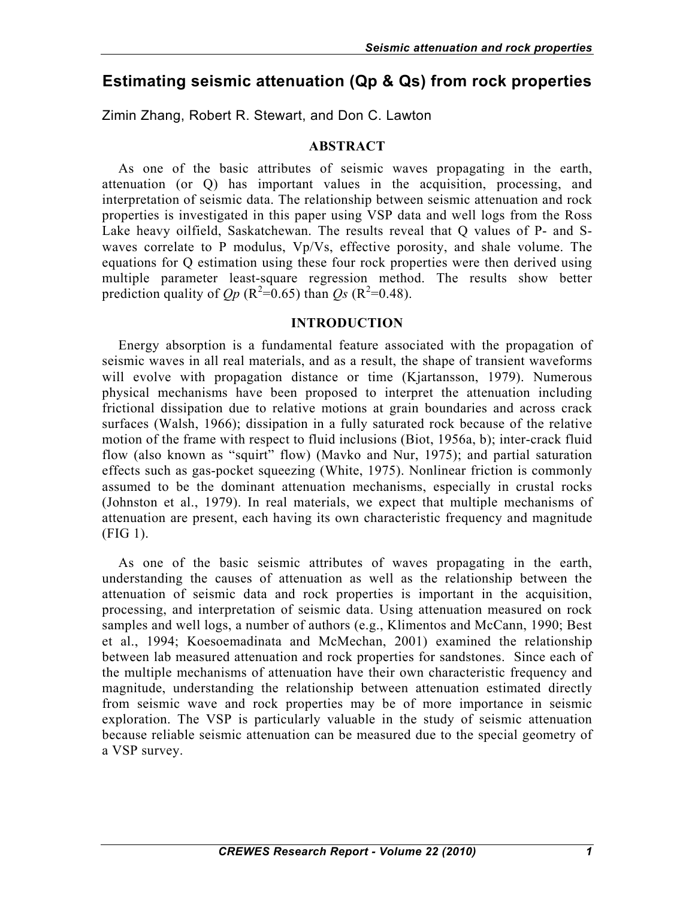# **Estimating seismic attenuation (Qp & Qs) from rock properties**

Zimin Zhang, Robert R. Stewart, and Don C. Lawton

## **ABSTRACT**

As one of the basic attributes of seismic waves propagating in the earth, attenuation (or Q) has important values in the acquisition, processing, and interpretation of seismic data. The relationship between seismic attenuation and rock properties is investigated in this paper using VSP data and well logs from the Ross Lake heavy oilfield, Saskatchewan. The results reveal that Q values of P- and Swaves correlate to P modulus, Vp/Vs, effective porosity, and shale volume. The equations for Q estimation using these four rock properties were then derived using multiple parameter least-square regression method. The results show better prediction quality of  $Qp$  ( $R^2=0.65$ ) than  $Qs$  ( $R^2=0.48$ ).

#### **INTRODUCTION**

Energy absorption is a fundamental feature associated with the propagation of seismic waves in all real materials, and as a result, the shape of transient waveforms will evolve with propagation distance or time (Kjartansson, 1979). Numerous physical mechanisms have been proposed to interpret the attenuation including frictional dissipation due to relative motions at grain boundaries and across crack surfaces (Walsh, 1966); dissipation in a fully saturated rock because of the relative motion of the frame with respect to fluid inclusions (Biot, 1956a, b); inter-crack fluid flow (also known as "squirt" flow) (Mavko and Nur, 1975); and partial saturation effects such as gas-pocket squeezing (White, 1975). Nonlinear friction is commonly assumed to be the dominant attenuation mechanisms, especially in crustal rocks (Johnston et al., 1979). In real materials, we expect that multiple mechanisms of attenuation are present, each having its own characteristic frequency and magnitude (FIG 1).

As one of the basic seismic attributes of waves propagating in the earth, understanding the causes of attenuation as well as the relationship between the attenuation of seismic data and rock properties is important in the acquisition, processing, and interpretation of seismic data. Using attenuation measured on rock samples and well logs, a number of authors (e.g., Klimentos and McCann, 1990; Best et al., 1994; Koesoemadinata and McMechan, 2001) examined the relationship between lab measured attenuation and rock properties for sandstones. Since each of the multiple mechanisms of attenuation have their own characteristic frequency and magnitude, understanding the relationship between attenuation estimated directly from seismic wave and rock properties may be of more importance in seismic exploration. The VSP is particularly valuable in the study of seismic attenuation because reliable seismic attenuation can be measured due to the special geometry of a VSP survey.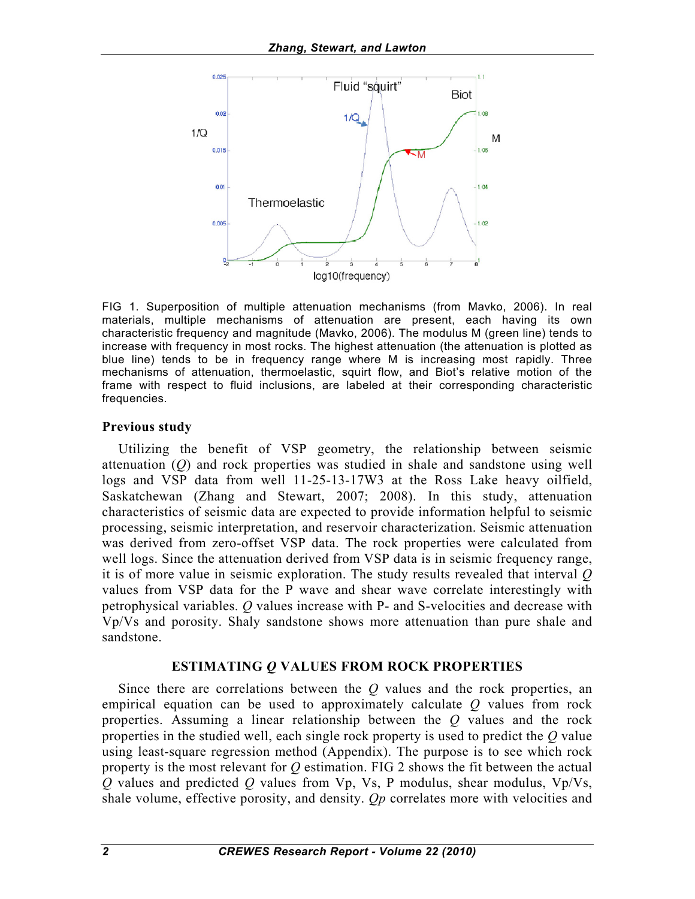

FIG 1. Superposition of multiple attenuation mechanisms (from Mavko, 2006). In real materials, multiple mechanisms of attenuation are present, each having its own characteristic frequency and magnitude (Mavko, 2006). The modulus M (green line) tends to increase with frequency in most rocks. The highest attenuation (the attenuation is plotted as blue line) tends to be in frequency range where M is increasing most rapidly. Three mechanisms of attenuation, thermoelastic, squirt flow, and Biot's relative motion of the frame with respect to fluid inclusions, are labeled at their corresponding characteristic frequencies.

#### **Previous study**

Utilizing the benefit of VSP geometry, the relationship between seismic attenuation (*Q*) and rock properties was studied in shale and sandstone using well logs and VSP data from well 11-25-13-17W3 at the Ross Lake heavy oilfield, Saskatchewan (Zhang and Stewart, 2007; 2008). In this study, attenuation characteristics of seismic data are expected to provide information helpful to seismic processing, seismic interpretation, and reservoir characterization. Seismic attenuation was derived from zero-offset VSP data. The rock properties were calculated from well logs. Since the attenuation derived from VSP data is in seismic frequency range, it is of more value in seismic exploration. The study results revealed that interval *Q* values from VSP data for the P wave and shear wave correlate interestingly with petrophysical variables. *Q* values increase with P- and S-velocities and decrease with Vp/Vs and porosity. Shaly sandstone shows more attenuation than pure shale and sandstone.

### **ESTIMATING** *Q* **VALUES FROM ROCK PROPERTIES**

Since there are correlations between the *Q* values and the rock properties, an empirical equation can be used to approximately calculate *Q* values from rock properties. Assuming a linear relationship between the *Q* values and the rock properties in the studied well, each single rock property is used to predict the *Q* value using least-square regression method (Appendix). The purpose is to see which rock property is the most relevant for *Q* estimation. FIG 2 shows the fit between the actual *Q* values and predicted *Q* values from Vp, Vs, P modulus, shear modulus, Vp/Vs, shale volume, effective porosity, and density. *Qp* correlates more with velocities and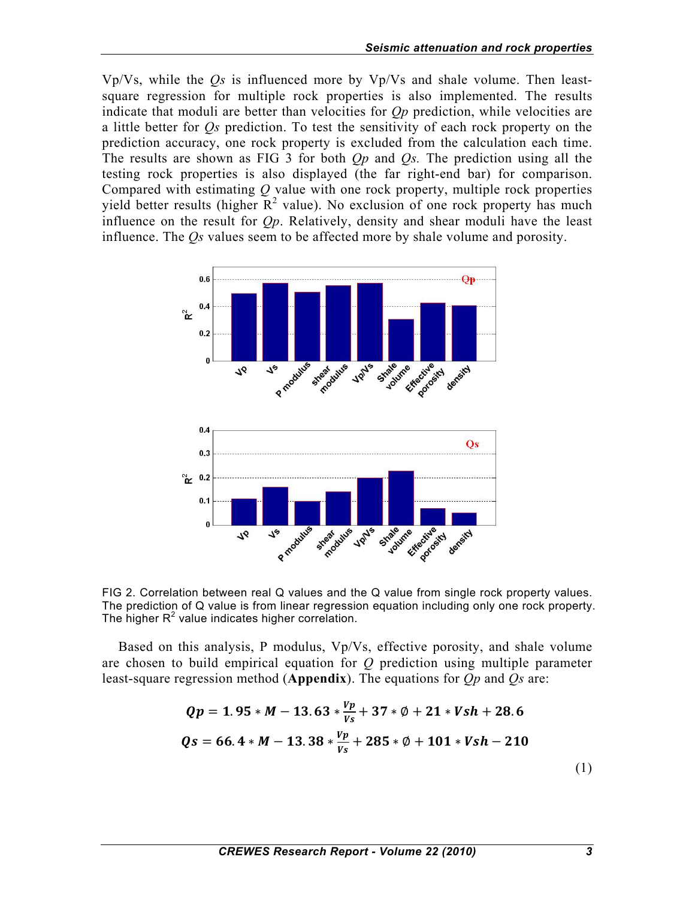Vp/Vs, while the *Qs* is influenced more by Vp/Vs and shale volume. Then leastsquare regression for multiple rock properties is also implemented. The results indicate that moduli are better than velocities for *Qp* prediction, while velocities are a little better for *Qs* prediction. To test the sensitivity of each rock property on the prediction accuracy, one rock property is excluded from the calculation each time. The results are shown as FIG 3 for both *Qp* and *Qs.* The prediction using all the testing rock properties is also displayed (the far right-end bar) for comparison. Compared with estimating *Q* value with one rock property, multiple rock properties yield better results (higher  $\mathbb{R}^2$  value). No exclusion of one rock property has much influence on the result for *Qp*. Relatively, density and shear moduli have the least influence. The *Qs* values seem to be affected more by shale volume and porosity.



FIG 2. Correlation between real Q values and the Q value from single rock property values. The prediction of Q value is from linear regression equation including only one rock property. The higher  $R^2$  value indicates higher correlation.

Based on this analysis, P modulus, Vp/Vs, effective porosity, and shale volume are chosen to build empirical equation for *Q* prediction using multiple parameter least-square regression method (**Appendix**). The equations for *Qp* and *Qs* are:

$$
Qp = 1.95 * M - 13.63 * \frac{vp}{vs} + 37 * \emptyset + 21 * Vsh + 28.6
$$
  

$$
Qs = 66.4 * M - 13.38 * \frac{vp}{vs} + 285 * \emptyset + 101 * Vsh - 210
$$
 (1)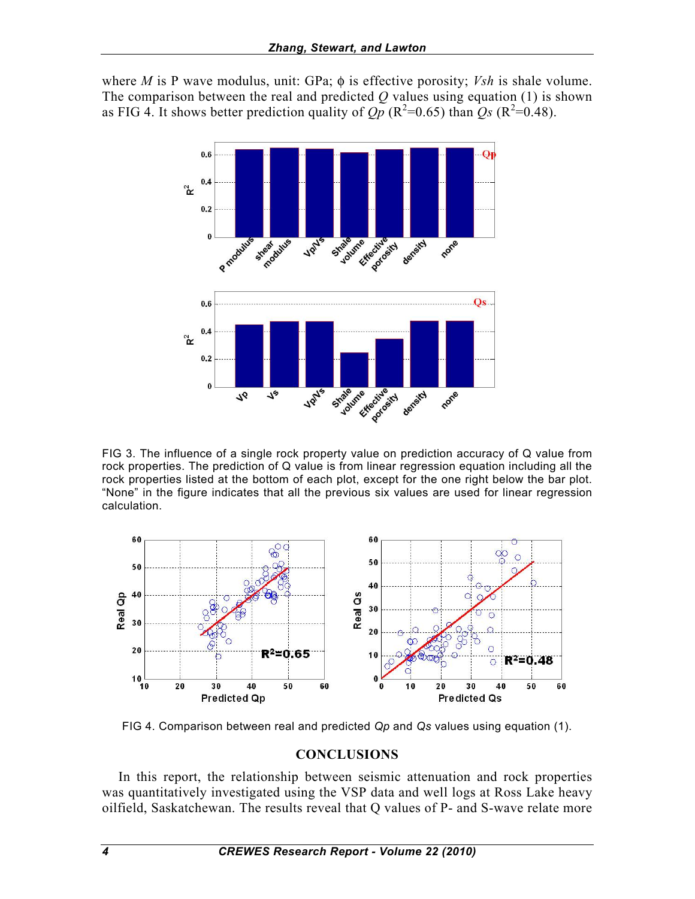where *M* is P wave modulus, unit: GPa; φ is effective porosity; *Vsh* is shale volume. The comparison between the real and predicted  $Q$  values using equation (1) is shown as FIG 4. It shows better prediction quality of  $\overline{Op}$  ( $\overline{R^2}$ =0.65) than  $\overline{Qs}$  ( $\overline{R^2}$ =0.48).



FIG 3. The influence of a single rock property value on prediction accuracy of Q value from rock properties. The prediction of Q value is from linear regression equation including all the rock properties listed at the bottom of each plot, except for the one right below the bar plot. "None" in the figure indicates that all the previous six values are used for linear regression calculation.



FIG 4. Comparison between real and predicted *Qp* and *Qs* values using equation (1).

### **CONCLUSIONS**

In this report, the relationship between seismic attenuation and rock properties was quantitatively investigated using the VSP data and well logs at Ross Lake heavy oilfield, Saskatchewan. The results reveal that Q values of P- and S-wave relate more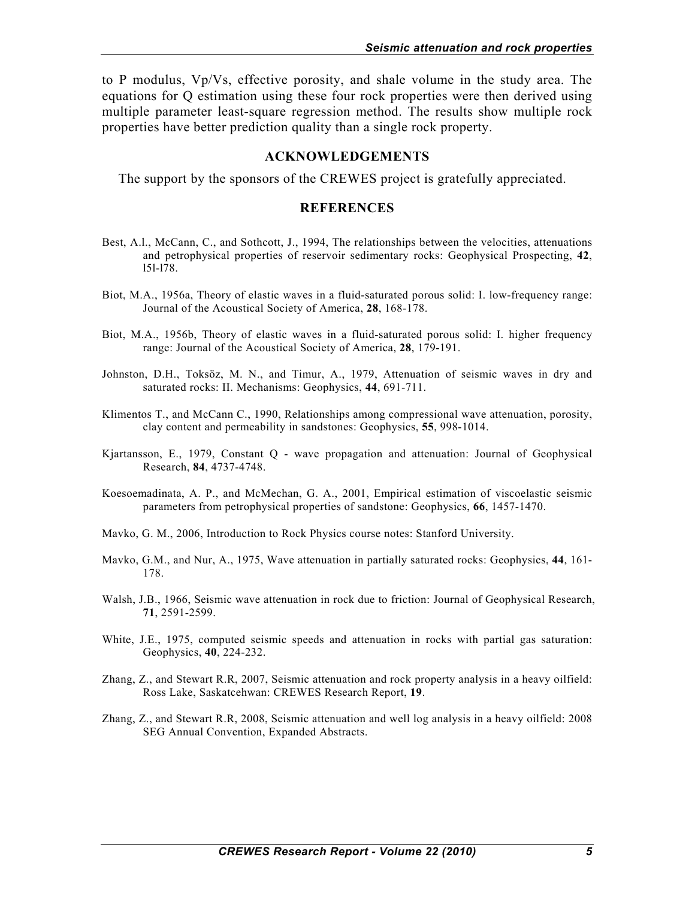to P modulus, Vp/Vs, effective porosity, and shale volume in the study area. The equations for Q estimation using these four rock properties were then derived using multiple parameter least-square regression method. The results show multiple rock properties have better prediction quality than a single rock property.

#### **ACKNOWLEDGEMENTS**

The support by the sponsors of the CREWES project is gratefully appreciated.

#### **REFERENCES**

- Best, A.l., McCann, C., and Sothcott, J., 1994, The relationships between the velocities, attenuations and petrophysical properties of reservoir sedimentary rocks: Geophysical Prospecting, **42**, l5l-l78.
- Biot, M.A., 1956a, Theory of elastic waves in a fluid-saturated porous solid: I. low-frequency range: Journal of the Acoustical Society of America, **28**, 168-178.
- Biot, M.A., 1956b, Theory of elastic waves in a fluid-saturated porous solid: I. higher frequency range: Journal of the Acoustical Society of America, **28**, 179-191.
- Johnston, D.H., Toksöz, M. N., and Timur, A., 1979, Attenuation of seismic waves in dry and saturated rocks: II. Mechanisms: Geophysics, **44**, 691-711.
- Klimentos T., and McCann C., 1990, Relationships among compressional wave attenuation, porosity, clay content and permeability in sandstones: Geophysics, **55**, 998-1014.
- Kjartansson, E., 1979, Constant Q wave propagation and attenuation: Journal of Geophysical Research, **84**, 4737-4748.
- Koesoemadinata, A. P., and McMechan, G. A., 2001, Empirical estimation of viscoelastic seismic parameters from petrophysical properties of sandstone: Geophysics, **66**, 1457-1470.
- Mavko, G. M., 2006, Introduction to Rock Physics course notes: Stanford University.
- Mavko, G.M., and Nur, A., 1975, Wave attenuation in partially saturated rocks: Geophysics, **44**, 161- 178.
- Walsh, J.B., 1966, Seismic wave attenuation in rock due to friction: Journal of Geophysical Research, **71**, 2591-2599.
- White, J.E., 1975, computed seismic speeds and attenuation in rocks with partial gas saturation: Geophysics, **40**, 224-232.
- Zhang, Z., and Stewart R.R, 2007, Seismic attenuation and rock property analysis in a heavy oilfield: Ross Lake, Saskatcehwan: CREWES Research Report, **19**.
- Zhang, Z., and Stewart R.R, 2008, Seismic attenuation and well log analysis in a heavy oilfield: 2008 SEG Annual Convention, Expanded Abstracts.